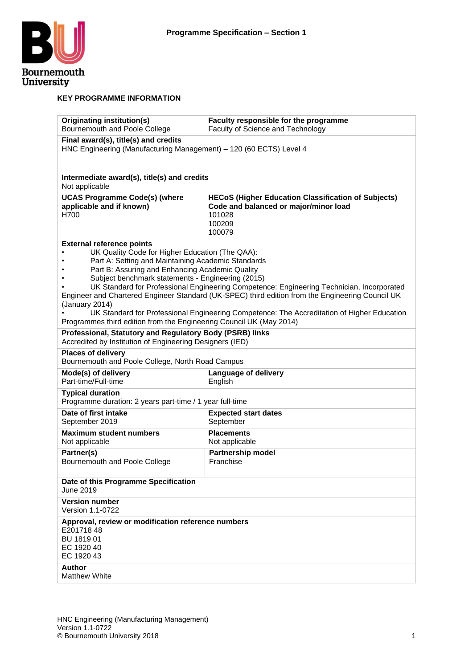

#### **KEY PROGRAMME INFORMATION**

| Originating institution(s)<br>Bournemouth and Poole College                                                                                                                                                                                                                                                                                | Faculty responsible for the programme<br>Faculty of Science and Technology                                                                                                                                                                                                                  |  |  |  |  |  |  |  |  |
|--------------------------------------------------------------------------------------------------------------------------------------------------------------------------------------------------------------------------------------------------------------------------------------------------------------------------------------------|---------------------------------------------------------------------------------------------------------------------------------------------------------------------------------------------------------------------------------------------------------------------------------------------|--|--|--|--|--|--|--|--|
| Final award(s), title(s) and credits<br>HNC Engineering (Manufacturing Management) - 120 (60 ECTS) Level 4                                                                                                                                                                                                                                 |                                                                                                                                                                                                                                                                                             |  |  |  |  |  |  |  |  |
| Intermediate award(s), title(s) and credits<br>Not applicable                                                                                                                                                                                                                                                                              |                                                                                                                                                                                                                                                                                             |  |  |  |  |  |  |  |  |
| <b>UCAS Programme Code(s) (where</b><br>applicable and if known)<br>H700                                                                                                                                                                                                                                                                   | <b>HECoS (Higher Education Classification of Subjects)</b><br>Code and balanced or major/minor load<br>101028<br>100209<br>100079                                                                                                                                                           |  |  |  |  |  |  |  |  |
| <b>External reference points</b><br>UK Quality Code for Higher Education (The QAA):<br>Part A: Setting and Maintaining Academic Standards<br>Part B: Assuring and Enhancing Academic Quality<br>Subject benchmark statements - Engineering (2015)<br>(January 2014)<br>Programmes third edition from the Engineering Council UK (May 2014) | UK Standard for Professional Engineering Competence: Engineering Technician, Incorporated<br>Engineer and Chartered Engineer Standard (UK-SPEC) third edition from the Engineering Council UK<br>UK Standard for Professional Engineering Competence: The Accreditation of Higher Education |  |  |  |  |  |  |  |  |
| Professional, Statutory and Regulatory Body (PSRB) links<br>Accredited by Institution of Engineering Designers (IED)                                                                                                                                                                                                                       |                                                                                                                                                                                                                                                                                             |  |  |  |  |  |  |  |  |
| <b>Places of delivery</b><br>Bournemouth and Poole College, North Road Campus                                                                                                                                                                                                                                                              |                                                                                                                                                                                                                                                                                             |  |  |  |  |  |  |  |  |
| Mode(s) of delivery<br>Part-time/Full-time                                                                                                                                                                                                                                                                                                 | Language of delivery<br>English                                                                                                                                                                                                                                                             |  |  |  |  |  |  |  |  |
| <b>Typical duration</b><br>Programme duration: 2 years part-time / 1 year full-time                                                                                                                                                                                                                                                        |                                                                                                                                                                                                                                                                                             |  |  |  |  |  |  |  |  |
| Date of first intake<br>September 2019                                                                                                                                                                                                                                                                                                     | <b>Expected start dates</b><br>September                                                                                                                                                                                                                                                    |  |  |  |  |  |  |  |  |
| <b>Maximum student numbers</b><br>Not applicable                                                                                                                                                                                                                                                                                           | <b>Placements</b><br>Not applicable                                                                                                                                                                                                                                                         |  |  |  |  |  |  |  |  |
| Partner(s)<br>Bournemouth and Poole College                                                                                                                                                                                                                                                                                                | <b>Partnership model</b><br>Franchise                                                                                                                                                                                                                                                       |  |  |  |  |  |  |  |  |
| Date of this Programme Specification<br>June 2019                                                                                                                                                                                                                                                                                          |                                                                                                                                                                                                                                                                                             |  |  |  |  |  |  |  |  |
| <b>Version number</b><br>Version 1.1-0722                                                                                                                                                                                                                                                                                                  |                                                                                                                                                                                                                                                                                             |  |  |  |  |  |  |  |  |
| Approval, review or modification reference numbers<br>E20171848<br>BU 1819 01<br>EC 1920 40<br>EC 1920 43                                                                                                                                                                                                                                  |                                                                                                                                                                                                                                                                                             |  |  |  |  |  |  |  |  |
| <b>Author</b><br><b>Matthew White</b>                                                                                                                                                                                                                                                                                                      |                                                                                                                                                                                                                                                                                             |  |  |  |  |  |  |  |  |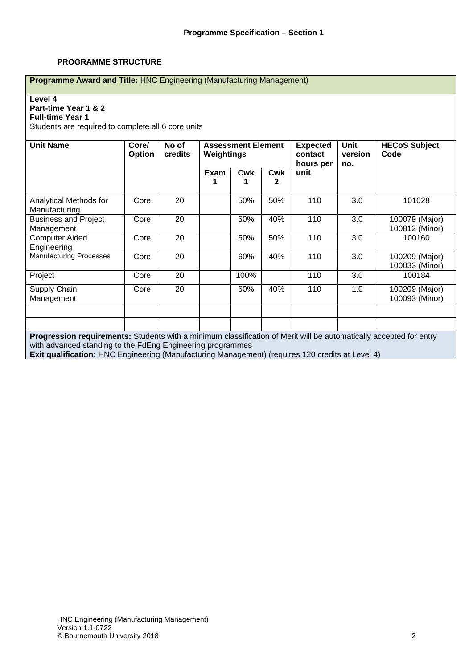#### **PROGRAMME STRUCTURE**

| Programme Award and Title: HNC Engineering (Manufacturing Management)                                                                         |                 |                  |            |                 |                 |                                         |                               |                                  |  |  |  |  |  |  |
|-----------------------------------------------------------------------------------------------------------------------------------------------|-----------------|------------------|------------|-----------------|-----------------|-----------------------------------------|-------------------------------|----------------------------------|--|--|--|--|--|--|
| Level 4<br>Part-time Year 1 & 2<br><b>Full-time Year 1</b><br>Students are required to complete all 6 core units<br><b>Assessment Element</b> |                 |                  |            |                 |                 |                                         |                               |                                  |  |  |  |  |  |  |
| <b>Unit Name</b>                                                                                                                              | Core/<br>Option | No of<br>credits | Weightings |                 |                 | <b>Expected</b><br>contact<br>hours per | <b>Unit</b><br>version<br>no. | <b>HECoS Subject</b><br>Code     |  |  |  |  |  |  |
|                                                                                                                                               |                 |                  | Exam<br>1  | <b>Cwk</b><br>1 | <b>Cwk</b><br>2 | unit                                    |                               |                                  |  |  |  |  |  |  |
| Analytical Methods for<br>Manufacturing                                                                                                       | Core            | 20               |            | 50%             | 50%             | 110                                     | 3.0                           | 101028                           |  |  |  |  |  |  |
| <b>Business and Project</b><br>Management                                                                                                     | Core            | 20               |            | 60%             | 40%             | 110                                     | 3.0                           | 100079 (Major)<br>100812 (Minor) |  |  |  |  |  |  |
| <b>Computer Aided</b><br>Engineering                                                                                                          | Core            | 20               |            | 50%             | 50%             | 110                                     | 3.0                           | 100160                           |  |  |  |  |  |  |
| <b>Manufacturing Processes</b>                                                                                                                | Core            | 20               |            | 60%             | 40%             | 110                                     | 3.0                           | 100209 (Major)<br>100033 (Minor) |  |  |  |  |  |  |
| Project                                                                                                                                       | Core            | 20               |            | 100%            |                 | 110                                     | 3.0                           | 100184                           |  |  |  |  |  |  |
| Supply Chain<br>Management                                                                                                                    | Core            | 20               |            | 60%             | 40%             | 110                                     | 1.0                           | 100209 (Major)<br>100093 (Minor) |  |  |  |  |  |  |
| <b>Progression requirements:</b> Students with a minimum classification of Merit will be automatically accepted for entry                     |                 |                  |            |                 |                 |                                         |                               |                                  |  |  |  |  |  |  |

**Progression requirements:** Students with a minimum classification of Merit will be automatically accepted for entry with advanced standing to the FdEng Engineering programmes

**Exit qualification:** HNC Engineering (Manufacturing Management) (requires 120 credits at Level 4)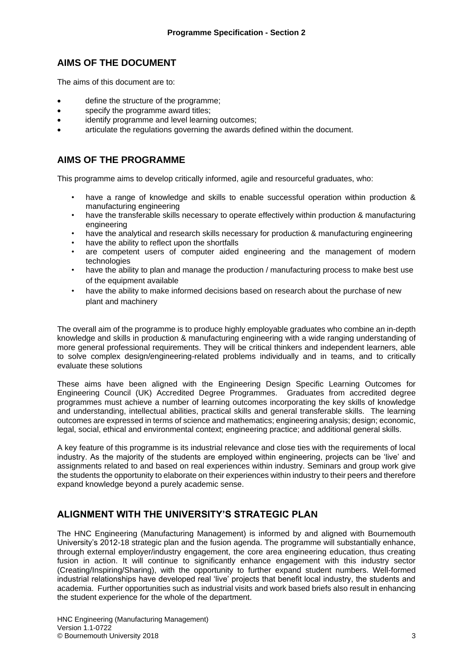## **AIMS OF THE DOCUMENT**

The aims of this document are to:

- define the structure of the programme;
- specify the programme award titles;
- identify programme and level learning outcomes:
- articulate the regulations governing the awards defined within the document.

### **AIMS OF THE PROGRAMME**

This programme aims to develop critically informed, agile and resourceful graduates, who:

- have a range of knowledge and skills to enable successful operation within production & manufacturing engineering
- have the transferable skills necessary to operate effectively within production & manufacturing engineering
- have the analytical and research skills necessary for production & manufacturing engineering
- have the ability to reflect upon the shortfalls
- are competent users of computer aided engineering and the management of modern technologies
- have the ability to plan and manage the production / manufacturing process to make best use of the equipment available
- have the ability to make informed decisions based on research about the purchase of new plant and machinery

The overall aim of the programme is to produce highly employable graduates who combine an in-depth knowledge and skills in production & manufacturing engineering with a wide ranging understanding of more general professional requirements. They will be critical thinkers and independent learners, able to solve complex design/engineering-related problems individually and in teams, and to critically evaluate these solutions

These aims have been aligned with the Engineering Design Specific Learning Outcomes for Engineering Council (UK) Accredited Degree Programmes.Graduates from accredited degree programmes must achieve a number of learning outcomes incorporating the key skills of knowledge and understanding, intellectual abilities, practical skills and general transferable skills. The learning outcomes are expressed in terms of science and mathematics; engineering analysis; design; economic, legal, social, ethical and environmental context; engineering practice; and additional general skills.

A key feature of this programme is its industrial relevance and close ties with the requirements of local industry. As the majority of the students are employed within engineering, projects can be 'live' and assignments related to and based on real experiences within industry. Seminars and group work give the students the opportunity to elaborate on their experiences within industry to their peers and therefore expand knowledge beyond a purely academic sense.

### **ALIGNMENT WITH THE UNIVERSITY'S STRATEGIC PLAN**

The HNC Engineering (Manufacturing Management) is informed by and aligned with Bournemouth University's 2012-18 strategic plan and the fusion agenda. The programme will substantially enhance, through external employer/industry engagement, the core area engineering education, thus creating fusion in action. It will continue to significantly enhance engagement with this industry sector (Creating/Inspiring/Sharing), with the opportunity to further expand student numbers. Well-formed industrial relationships have developed real 'live' projects that benefit local industry, the students and academia. Further opportunities such as industrial visits and work based briefs also result in enhancing the student experience for the whole of the department.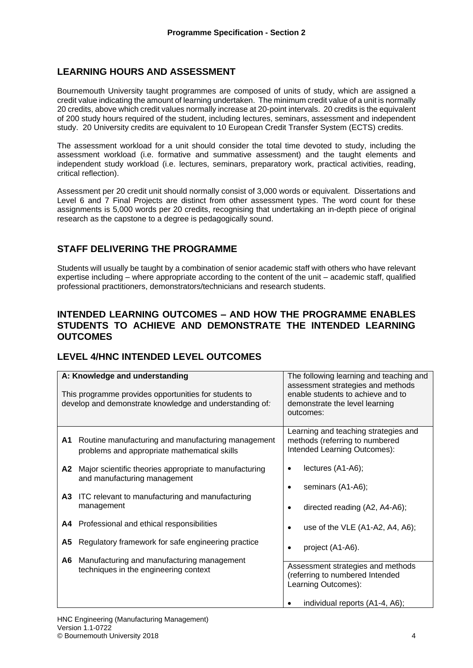# **LEARNING HOURS AND ASSESSMENT**

Bournemouth University taught programmes are composed of units of study, which are assigned a credit value indicating the amount of learning undertaken. The minimum credit value of a unit is normally 20 credits, above which credit values normally increase at 20-point intervals. 20 credits is the equivalent of 200 study hours required of the student, including lectures, seminars, assessment and independent study. 20 University credits are equivalent to 10 European Credit Transfer System (ECTS) credits.

The assessment workload for a unit should consider the total time devoted to study, including the assessment workload (i.e. formative and summative assessment) and the taught elements and independent study workload (i.e. lectures, seminars, preparatory work, practical activities, reading, critical reflection).

Assessment per 20 credit unit should normally consist of 3,000 words or equivalent. Dissertations and Level 6 and 7 Final Projects are distinct from other assessment types. The word count for these assignments is 5,000 words per 20 credits, recognising that undertaking an in-depth piece of original research as the capstone to a degree is pedagogically sound.

# **STAFF DELIVERING THE PROGRAMME**

Students will usually be taught by a combination of senior academic staff with others who have relevant expertise including – where appropriate according to the content of the unit – academic staff, qualified professional practitioners, demonstrators/technicians and research students.

### **INTENDED LEARNING OUTCOMES – AND HOW THE PROGRAMME ENABLES STUDENTS TO ACHIEVE AND DEMONSTRATE THE INTENDED LEARNING OUTCOMES**

# **LEVEL 4/HNC INTENDED LEVEL OUTCOMES**

|           | A: Knowledge and understanding<br>This programme provides opportunities for students to<br>develop and demonstrate knowledge and understanding of:                                                      | The following learning and teaching and<br>assessment strategies and methods<br>enable students to achieve and to<br>demonstrate the level learning<br>outcomes: |
|-----------|---------------------------------------------------------------------------------------------------------------------------------------------------------------------------------------------------------|------------------------------------------------------------------------------------------------------------------------------------------------------------------|
| A1        | Routine manufacturing and manufacturing management<br>problems and appropriate mathematical skills                                                                                                      | Learning and teaching strategies and<br>methods (referring to numbered<br>Intended Learning Outcomes):                                                           |
| A2<br>A3  | Major scientific theories appropriate to manufacturing<br>and manufacturing management<br>ITC relevant to manufacturing and manufacturing<br>management<br>A4 Professional and ethical responsibilities | lectures (A1-A6);<br>seminars (A1-A6);<br>directed reading (A2, A4-A6);                                                                                          |
| A5<br>A6. | Regulatory framework for safe engineering practice<br>Manufacturing and manufacturing management                                                                                                        | use of the VLE (A1-A2, A4, A6);<br>project (A1-A6).<br>Assessment strategies and methods                                                                         |
|           | techniques in the engineering context                                                                                                                                                                   | (referring to numbered Intended<br>Learning Outcomes):<br>individual reports (A1-4, A6);                                                                         |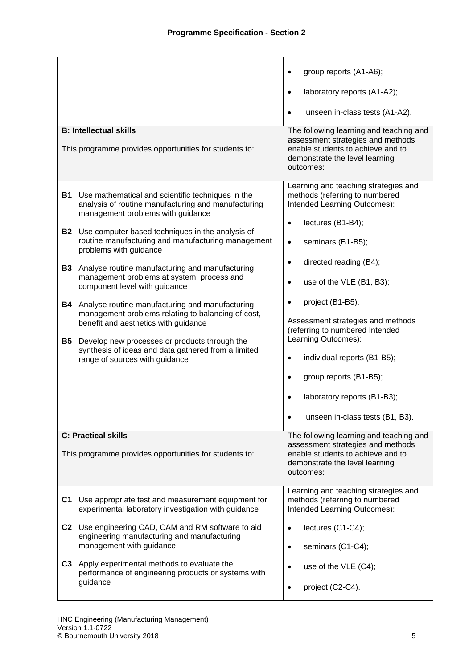| <b>B: Intellectual skills</b><br>This programme provides opportunities for students to:                                                             | group reports (A1-A6);<br>laboratory reports (A1-A2);<br>$\bullet$<br>unseen in-class tests (A1-A2).<br>$\bullet$<br>The following learning and teaching and<br>assessment strategies and methods<br>enable students to achieve and to<br>demonstrate the level learning<br>outcomes: |
|-----------------------------------------------------------------------------------------------------------------------------------------------------|---------------------------------------------------------------------------------------------------------------------------------------------------------------------------------------------------------------------------------------------------------------------------------------|
| B1<br>Use mathematical and scientific techniques in the<br>analysis of routine manufacturing and manufacturing<br>management problems with guidance | Learning and teaching strategies and<br>methods (referring to numbered<br>Intended Learning Outcomes):                                                                                                                                                                                |
| <b>B2</b>                                                                                                                                           | lectures (B1-B4);                                                                                                                                                                                                                                                                     |
| Use computer based techniques in the analysis of                                                                                                    | $\bullet$                                                                                                                                                                                                                                                                             |
| routine manufacturing and manufacturing management                                                                                                  | seminars (B1-B5);                                                                                                                                                                                                                                                                     |
| problems with guidance                                                                                                                              | $\bullet$                                                                                                                                                                                                                                                                             |
| Analyse routine manufacturing and manufacturing                                                                                                     | directed reading (B4);                                                                                                                                                                                                                                                                |
| <b>B3</b>                                                                                                                                           | $\bullet$                                                                                                                                                                                                                                                                             |
| management problems at system, process and                                                                                                          | use of the VLE (B1, B3);                                                                                                                                                                                                                                                              |
| component level with guidance                                                                                                                       | $\bullet$                                                                                                                                                                                                                                                                             |
| Analyse routine manufacturing and manufacturing<br>B4<br>management problems relating to balancing of cost,<br>benefit and aesthetics with guidance | project (B1-B5).<br>$\bullet$<br>Assessment strategies and methods                                                                                                                                                                                                                    |
| <b>B5</b>                                                                                                                                           | (referring to numbered Intended                                                                                                                                                                                                                                                       |
| Develop new processes or products through the                                                                                                       | Learning Outcomes):                                                                                                                                                                                                                                                                   |
| synthesis of ideas and data gathered from a limited                                                                                                 | individual reports (B1-B5);                                                                                                                                                                                                                                                           |
| range of sources with guidance                                                                                                                      | $\bullet$                                                                                                                                                                                                                                                                             |
|                                                                                                                                                     | group reports (B1-B5);<br>$\bullet$<br>laboratory reports (B1-B3);<br>unseen in-class tests (B1, B3).<br>$\bullet$                                                                                                                                                                    |
| <b>C: Practical skills</b><br>This programme provides opportunities for students to:                                                                | The following learning and teaching and<br>assessment strategies and methods<br>enable students to achieve and to<br>demonstrate the level learning<br>outcomes:                                                                                                                      |
| Use appropriate test and measurement equipment for                                                                                                  | Learning and teaching strategies and                                                                                                                                                                                                                                                  |
| C1                                                                                                                                                  | methods (referring to numbered                                                                                                                                                                                                                                                        |
| experimental laboratory investigation with guidance                                                                                                 | Intended Learning Outcomes):                                                                                                                                                                                                                                                          |
| C2                                                                                                                                                  | lectures (C1-C4);                                                                                                                                                                                                                                                                     |
| Use engineering CAD, CAM and RM software to aid                                                                                                     | $\bullet$                                                                                                                                                                                                                                                                             |
| engineering manufacturing and manufacturing                                                                                                         | seminars (C1-C4);                                                                                                                                                                                                                                                                     |
| management with guidance                                                                                                                            | $\bullet$                                                                                                                                                                                                                                                                             |
| C3                                                                                                                                                  | use of the VLE (C4);                                                                                                                                                                                                                                                                  |
| Apply experimental methods to evaluate the                                                                                                          | $\bullet$                                                                                                                                                                                                                                                                             |
| performance of engineering products or systems with                                                                                                 | project (C2-C4).                                                                                                                                                                                                                                                                      |
| guidance                                                                                                                                            | $\bullet$                                                                                                                                                                                                                                                                             |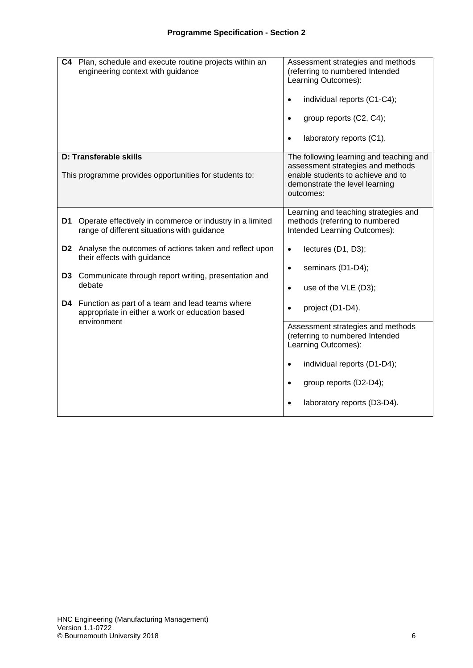| C4 | Plan, schedule and execute routine projects within an<br>engineering context with guidance                        | Assessment strategies and methods<br>(referring to numbered Intended<br>Learning Outcomes):<br>individual reports (C1-C4);<br>$\bullet$<br>group reports (C2, C4);<br>$\bullet$<br>laboratory reports (C1).<br>$\bullet$ |
|----|-------------------------------------------------------------------------------------------------------------------|--------------------------------------------------------------------------------------------------------------------------------------------------------------------------------------------------------------------------|
|    | D: Transferable skills<br>This programme provides opportunities for students to:                                  | The following learning and teaching and<br>assessment strategies and methods<br>enable students to achieve and to<br>demonstrate the level learning<br>outcomes:                                                         |
| D1 | Operate effectively in commerce or industry in a limited<br>range of different situations with guidance           | Learning and teaching strategies and<br>methods (referring to numbered<br>Intended Learning Outcomes):                                                                                                                   |
|    | D2 Analyse the outcomes of actions taken and reflect upon<br>their effects with guidance                          | lectures (D1, D3);<br>$\bullet$<br>seminars (D1-D4);<br>$\bullet$                                                                                                                                                        |
|    | D3 Communicate through report writing, presentation and<br>debate                                                 | use of the VLE (D3);<br>$\bullet$                                                                                                                                                                                        |
| D4 | Function as part of a team and lead teams where<br>appropriate in either a work or education based<br>environment | project (D1-D4).<br>$\bullet$                                                                                                                                                                                            |
|    |                                                                                                                   | Assessment strategies and methods<br>(referring to numbered Intended<br>Learning Outcomes):                                                                                                                              |
|    |                                                                                                                   | individual reports (D1-D4);<br>$\bullet$                                                                                                                                                                                 |
|    |                                                                                                                   | group reports (D2-D4);<br>$\bullet$                                                                                                                                                                                      |
|    |                                                                                                                   | laboratory reports (D3-D4).<br>$\bullet$                                                                                                                                                                                 |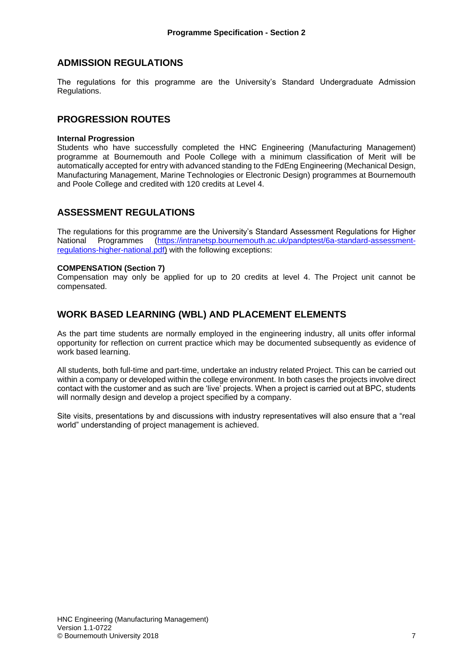### **ADMISSION REGULATIONS**

The regulations for this programme are the University's Standard Undergraduate Admission Regulations.

#### **PROGRESSION ROUTES**

#### **Internal Progression**

Students who have successfully completed the HNC Engineering (Manufacturing Management) programme at Bournemouth and Poole College with a minimum classification of Merit will be automatically accepted for entry with advanced standing to the FdEng Engineering (Mechanical Design, Manufacturing Management, Marine Technologies or Electronic Design) programmes at Bournemouth and Poole College and credited with 120 credits at Level 4.

#### **ASSESSMENT REGULATIONS**

The regulations for this programme are the University's Standard Assessment Regulations for Higher National Programmes [\(https://intranetsp.bournemouth.ac.uk/pandptest/6a-standard-assessment](https://intranetsp.bournemouth.ac.uk/pandptest/6a-standard-assessment-regulations-higher-national.pdf)[regulations-higher-national.pdf\)](https://intranetsp.bournemouth.ac.uk/pandptest/6a-standard-assessment-regulations-higher-national.pdf) with the following exceptions:

#### **COMPENSATION (Section 7)**

Compensation may only be applied for up to 20 credits at level 4. The Project unit cannot be compensated.

#### **WORK BASED LEARNING (WBL) AND PLACEMENT ELEMENTS**

As the part time students are normally employed in the engineering industry, all units offer informal opportunity for reflection on current practice which may be documented subsequently as evidence of work based learning.

All students, both full-time and part-time, undertake an industry related Project. This can be carried out within a company or developed within the college environment. In both cases the projects involve direct contact with the customer and as such are 'live' projects. When a project is carried out at BPC, students will normally design and develop a project specified by a company.

Site visits, presentations by and discussions with industry representatives will also ensure that a "real world" understanding of project management is achieved.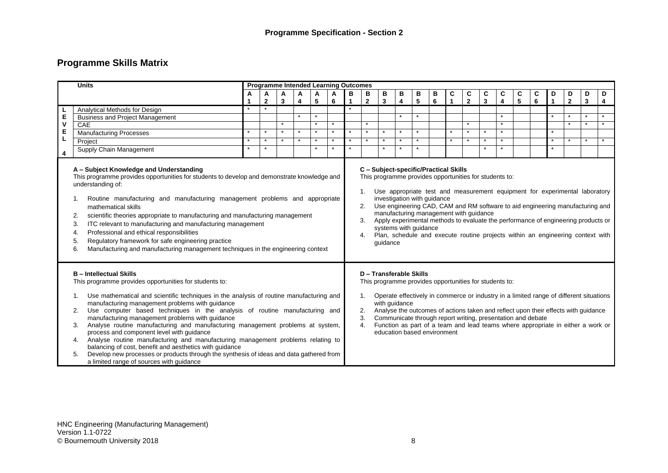# **Programme Skills Matrix**

|                                                                                                                                                                                                                                                                                                                                                                                                                                                                                                                                                                                                                                                                                                                                                                                                                     | <b>Units</b>                           |                            |              |         |         |         | <b>Programme Intended Learning Outcomes</b> |         |              |                                                                         |         |         |   |    |                                                                                                  |                         |         |                                                                                                                                                                                                                                                                                                                                    |   |         |                |                         |         |
|---------------------------------------------------------------------------------------------------------------------------------------------------------------------------------------------------------------------------------------------------------------------------------------------------------------------------------------------------------------------------------------------------------------------------------------------------------------------------------------------------------------------------------------------------------------------------------------------------------------------------------------------------------------------------------------------------------------------------------------------------------------------------------------------------------------------|----------------------------------------|----------------------------|--------------|---------|---------|---------|---------------------------------------------|---------|--------------|-------------------------------------------------------------------------|---------|---------|---|----|--------------------------------------------------------------------------------------------------|-------------------------|---------|------------------------------------------------------------------------------------------------------------------------------------------------------------------------------------------------------------------------------------------------------------------------------------------------------------------------------------|---|---------|----------------|-------------------------|---------|
|                                                                                                                                                                                                                                                                                                                                                                                                                                                                                                                                                                                                                                                                                                                                                                                                                     |                                        | A<br>Α<br>A<br>A<br>A<br>A |              |         |         |         |                                             |         |              |                                                                         | в       | в       | В | C  | C                                                                                                | C                       | C       | C                                                                                                                                                                                                                                                                                                                                  | C | D       | D              | D                       | D       |
|                                                                                                                                                                                                                                                                                                                                                                                                                                                                                                                                                                                                                                                                                                                                                                                                                     |                                        |                            | $\mathbf{2}$ | 3       | 4       | 5       | 6                                           | 1       | $\mathbf{2}$ | 3                                                                       | 4       | 5       | 6 | -1 | $\overline{\mathbf{2}}$                                                                          | $\overline{\mathbf{3}}$ | 4       | $\overline{\mathbf{5}}$                                                                                                                                                                                                                                                                                                            | 6 | 1       | $\overline{2}$ | $\overline{\mathbf{3}}$ | 4       |
|                                                                                                                                                                                                                                                                                                                                                                                                                                                                                                                                                                                                                                                                                                                                                                                                                     | Analytical Methods for Design          |                            |              |         |         |         |                                             |         |              |                                                                         |         |         |   |    |                                                                                                  |                         |         |                                                                                                                                                                                                                                                                                                                                    |   |         |                |                         |         |
| E<br>V                                                                                                                                                                                                                                                                                                                                                                                                                                                                                                                                                                                                                                                                                                                                                                                                              | <b>Business and Project Management</b> |                            |              |         |         | $\star$ |                                             |         |              |                                                                         | $\star$ | $\star$ |   |    |                                                                                                  |                         | $\star$ |                                                                                                                                                                                                                                                                                                                                    |   | $\star$ | $\star$        |                         | $\star$ |
|                                                                                                                                                                                                                                                                                                                                                                                                                                                                                                                                                                                                                                                                                                                                                                                                                     | <b>CAE</b>                             |                            |              | $\star$ |         | $\star$ |                                             |         | $\star$      |                                                                         |         |         |   |    | $\star$                                                                                          |                         | $\star$ |                                                                                                                                                                                                                                                                                                                                    |   |         | $\star$        | $\star$                 | $\star$ |
| E                                                                                                                                                                                                                                                                                                                                                                                                                                                                                                                                                                                                                                                                                                                                                                                                                   | <b>Manufacturing Processes</b>         |                            | $\star$      | $\star$ | $\star$ | $\star$ |                                             | $\star$ | $\star$      |                                                                         | $\star$ | $\star$ |   |    | $\star$                                                                                          | $\star$                 | $\star$ |                                                                                                                                                                                                                                                                                                                                    |   | $\star$ |                |                         |         |
|                                                                                                                                                                                                                                                                                                                                                                                                                                                                                                                                                                                                                                                                                                                                                                                                                     | Project                                |                            |              |         |         |         |                                             |         |              |                                                                         |         | $\star$ |   |    |                                                                                                  |                         |         |                                                                                                                                                                                                                                                                                                                                    |   | $\star$ |                |                         |         |
| 4                                                                                                                                                                                                                                                                                                                                                                                                                                                                                                                                                                                                                                                                                                                                                                                                                   | Supply Chain Management                |                            |              |         |         |         |                                             |         |              |                                                                         |         |         |   |    |                                                                                                  |                         |         |                                                                                                                                                                                                                                                                                                                                    |   |         |                |                         |         |
| This programme provides opportunities for students to develop and demonstrate knowledge and<br>understanding of:<br>Routine manufacturing and manufacturing management problems and appropriate<br>mathematical skills<br>scientific theories appropriate to manufacturing and manufacturing management<br>2.<br>ITC relevant to manufacturing and manufacturing management<br>3.<br>Professional and ethical responsibilities<br>4.<br>Regulatory framework for safe engineering practice<br>5.<br>Manufacturing and manufacturing management techniques in the engineering context<br>6.                                                                                                                                                                                                                          |                                        |                            |              |         |         |         |                                             |         |              | investigation with guidance<br>systems with guidance<br>guidance        |         |         |   |    | This programme provides opportunities for students to:<br>manufacturing management with guidance |                         |         | Use appropriate test and measurement equipment for experimental laboratory<br>Use engineering CAD, CAM and RM software to aid engineering manufacturing and<br>Apply experimental methods to evaluate the performance of engineering products or<br>Plan, schedule and execute routine projects within an engineering context with |   |         |                |                         |         |
| <b>B</b> - Intellectual Skills<br>This programme provides opportunities for students to:<br>Use mathematical and scientific techniques in the analysis of routine manufacturing and<br>1.<br>manufacturing management problems with guidance<br>Use computer based techniques in the analysis of routine manufacturing and<br>2.<br>manufacturing management problems with guidance<br>Analyse routine manufacturing and manufacturing management problems at system,<br>3.<br>process and component level with guidance<br>Analyse routine manufacturing and manufacturing management problems relating to<br>4.<br>balancing of cost, benefit and aesthetics with guidance<br>Develop new processes or products through the synthesis of ideas and data gathered from<br>a limited range of sources with quidance |                                        |                            |              |         |         |         |                                             |         |              | D - Transferable Skills<br>with quidance<br>education based environment |         |         |   |    | This programme provides opportunities for students to:                                           |                         |         | Operate effectively in commerce or industry in a limited range of different situations<br>Analyse the outcomes of actions taken and reflect upon their effects with guidance<br>Communicate through report writing, presentation and debate<br>Function as part of a team and lead teams where appropriate in either a work or     |   |         |                |                         |         |